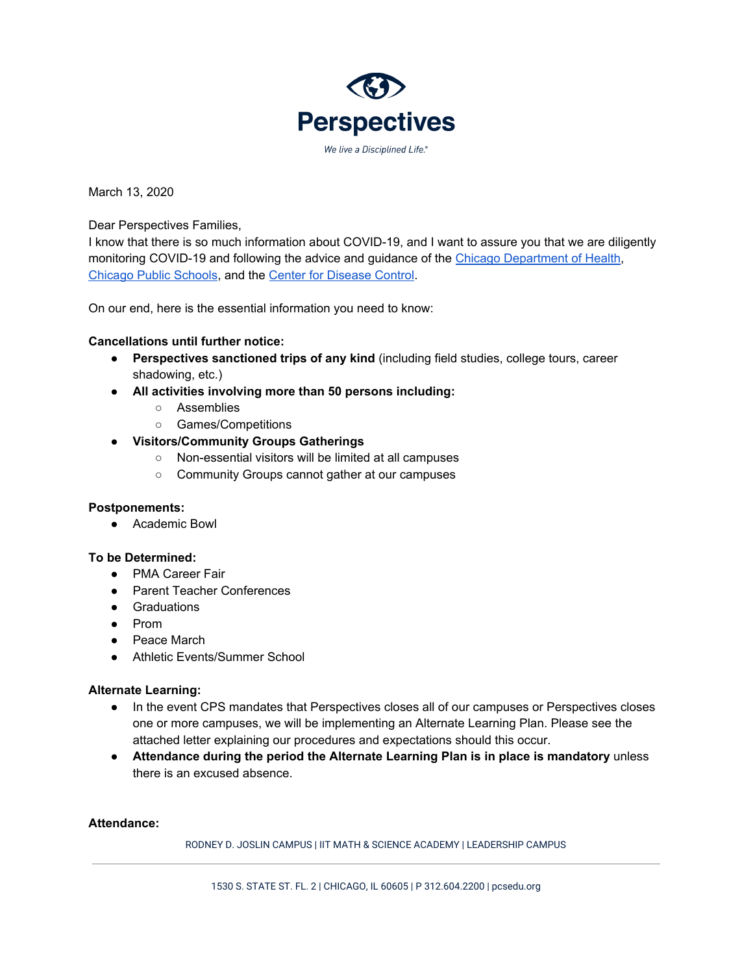

March 13, 2020

Dear Perspectives Families,

I know that there is so much information about COVID-19, and I want to assure you that we are diligently monitoring COVID-19 and following the advice and guidance of the Chicago [Department](https://www.chicago.gov/city/en/sites/covid-19/home.html) of Healt[h,](https://www.chicago.gov/city/en/depts/cdph.html) [Chicago](https://www.cps.edu/OSHW/Pages/HealthyCPS.aspx) Public Schools, and the Center for [Disease](https://www.cdc.gov/) Control.

On our end, here is the essential information you need to know:

## **Cancellations until further notice:**

- **Perspectives sanctioned trips of any kind** (including field studies, college tours, career shadowing, etc.)
- **● All activities involving more than 50 persons including:**
	- Assemblies
	- Games/Competitions

## **● Visitors/Community Groups Gatherings**

- Non-essential visitors will be limited at all campuses
- Community Groups cannot gather at our campuses

### **Postponements:**

● Academic Bowl

### **To be Determined:**

- PMA Career Fair
- Parent Teacher Conferences
- Graduations
- Prom
- Peace March
- Athletic Events/Summer School

### **Alternate Learning:**

- In the event CPS mandates that Perspectives closes all of our campuses or Perspectives closes one or more campuses, we will be implementing an Alternate Learning Plan. Please see the attached letter explaining our procedures and expectations should this occur.
- **Attendance during the period the Alternate Learning Plan is in place is mandatory** unless there is an excused absence.

### **Attendance:**

RODNEY D. JOSLIN CAMPUS | IIT MATH & SCIENCE ACADEMY | LEADERSHIP CAMPUS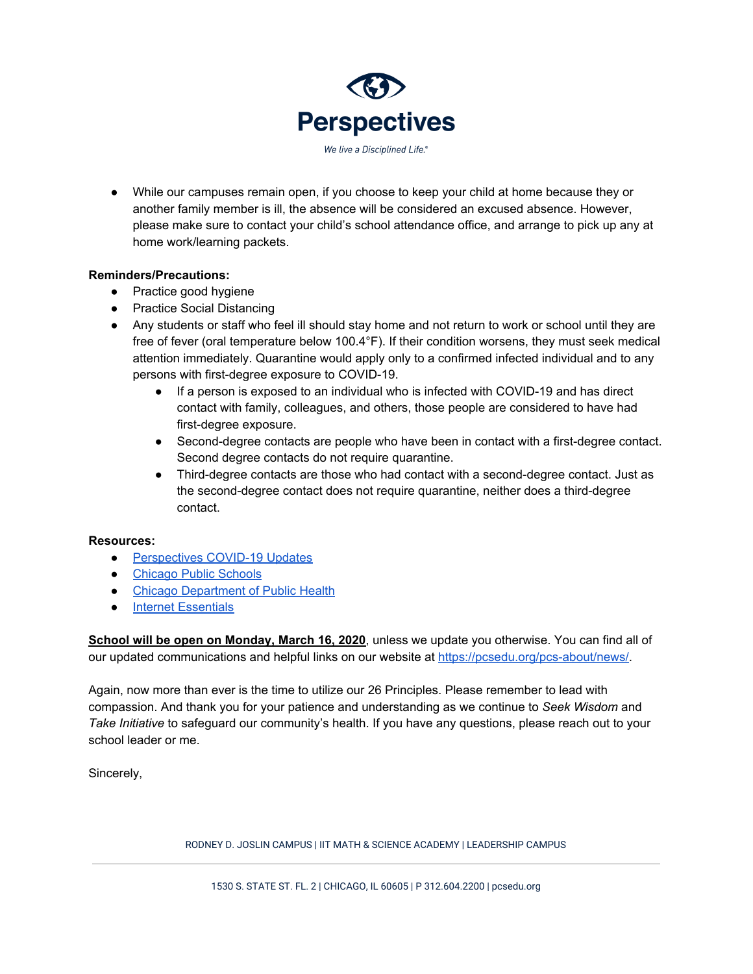

● While our campuses remain open, if you choose to keep your child at home because they or another family member is ill, the absence will be considered an excused absence. However, please make sure to contact your child's school attendance office, and arrange to pick up any at home work/learning packets.

## **Reminders/Precautions:**

- Practice good hygiene
- Practice Social Distancing
- Any students or staff who feel ill should stay home and not return to work or school until they are free of fever (oral temperature below 100.4°F). If their condition worsens, they must seek medical attention immediately. Quarantine would apply only to a confirmed infected individual and to any persons with first-degree exposure to COVID-19.
	- If a person is exposed to an individual who is infected with COVID-19 and has direct contact with family, colleagues, and others, those people are considered to have had first-degree exposure.
	- Second-degree contacts are people who have been in contact with a first-degree contact. Second degree contacts do not require quarantine.
	- Third-degree contacts are those who had contact with a second-degree contact. Just as the second-degree contact does not require quarantine, neither does a third-degree contact.

# **Resources:**

- [Perspectives](https://pcsedu.org/pcs-about/news/) COVID-19 Updates
- [Chicago](https://cps.edu/oshw/Pages/HealthyCPS.aspx) Public Schools
- Chicago [Department](https://www.chicago.gov/city/en/sites/covid-19/home.html) of Public Health
- Internet [Essentials](https://www.internetessentials.com/)

**School will be open on Monday, March 16, 2020**, unless we update you otherwise. You can find all of our updated communications and helpful links on our website at [https://pcsedu.org/pcs-about/news/.](https://pcsedu.org/pcs-about/news/)

Again, now more than ever is the time to utilize our 26 Principles. Please remember to lead with compassion. And thank you for your patience and understanding as we continue to *Seek Wisdom* and *Take Initiative* to safeguard our community's health. If you have any questions, please reach out to your school leader or me.

Sincerely,

RODNEY D. JOSLIN CAMPUS | IIT MATH & SCIENCE ACADEMY | LEADERSHIP CAMPUS